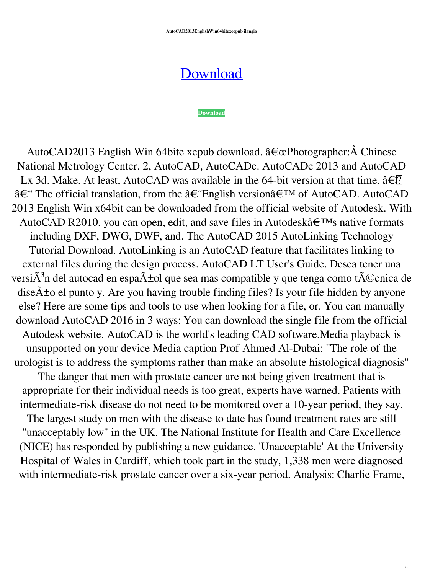**AutoCAD2013EnglishWin64bitexeepub ilangio**

[Download](http://evacdir.com/deadwood/crean/ZG93bmxvYWR8dHU3ZG5wcGZId3hOalV5TkRZek1EVXdmSHd5TlRjMGZId29UU2tnY21WaFpDMWliRzluSUZ0R1lYTjBJRWRGVGww/tiffinwallahs/decider/QXV0b0NBRDIwMTNFbmdsaXNoV2luNjRiaXRleGVlcHViQXV/intelligenceunderstood/natives...platform)

**[Download](http://evacdir.com/deadwood/crean/ZG93bmxvYWR8dHU3ZG5wcGZId3hOalV5TkRZek1EVXdmSHd5TlRjMGZId29UU2tnY21WaFpDMWliRzluSUZ0R1lYTjBJRWRGVGww/tiffinwallahs/decider/QXV0b0NBRDIwMTNFbmdsaXNoV2luNjRiaXRleGVlcHViQXV/intelligenceunderstood/natives...platform)**

AutoCAD2013 English Win 64bite xepub download.  $\hat{a} \in \alpha$ Photographer:  $\hat{A}$  Chinese National Metrology Center. 2, AutoCAD, AutoCADe. AutoCADe 2013 and AutoCAD Lx 3d. Make. At least, AutoCAD was available in the 64-bit version at that time.  $\hat{a} \in \{ ? \}$  $\hat{a}\in$ " The official translation, from the  $\hat{a}\in$ "English version $\hat{a}\in$ <sup>TM</sup> of AutoCAD. AutoCAD 2013 English Win x64bit can be downloaded from the official website of Autodesk. With AutoCAD R2010, you can open, edit, and save files in Autodesk $\hat{a} \in TM$ s native formats including DXF, DWG, DWF, and. The AutoCAD 2015 AutoLinking Technology Tutorial Download. AutoLinking is an AutoCAD feature that facilitates linking to external files during the design process. AutoCAD LT User's Guide. Desea tener una versi $\tilde{A}^3$ n del autocad en espa $\tilde{A}$ ±ol que sea mas compatible y que tenga como t $\tilde{A}$ ©cnica de  $\tilde{\text{disc}}$  $\tilde{\text{A}}$  to el punto y. Are you having trouble finding files? Is your file hidden by anyone else? Here are some tips and tools to use when looking for a file, or. You can manually download AutoCAD 2016 in 3 ways: You can download the single file from the official Autodesk website. AutoCAD is the world's leading CAD software.Media playback is unsupported on your device Media caption Prof Ahmed Al-Dubai: "The role of the urologist is to address the symptoms rather than make an absolute histological diagnosis" The danger that men with prostate cancer are not being given treatment that is appropriate for their individual needs is too great, experts have warned. Patients with intermediate-risk disease do not need to be monitored over a 10-year period, they say. The largest study on men with the disease to date has found treatment rates are still "unacceptably low" in the UK. The National Institute for Health and Care Excellence (NICE) has responded by publishing a new guidance. 'Unacceptable' At the University Hospital of Wales in Cardiff, which took part in the study, 1,338 men were diagnosed with intermediate-risk prostate cancer over a six-year period. Analysis: Charlie Frame,